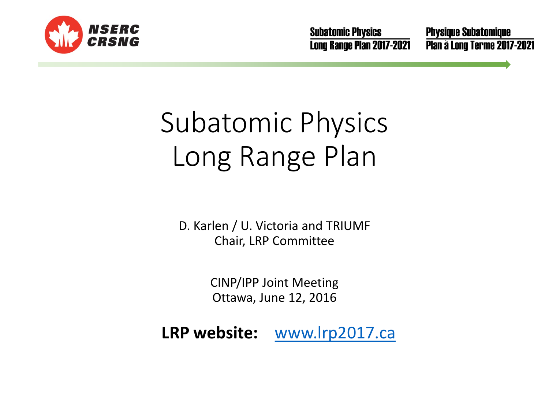

**Subatomic Physics** Long Range Plan 2017-2021 **Physique Subatomique** Plan à Long Terme 2017-2021

# Subatomic Physics Long Range Plan

D. Karlen / U. Victoria and TRIUMF Chair, LRP Committee

> CINP/IPP Joint Meeting Ottawa, June 12, 2016

**LRP website:** [www.lrp2017.ca](http://www.lrp2017.ca/)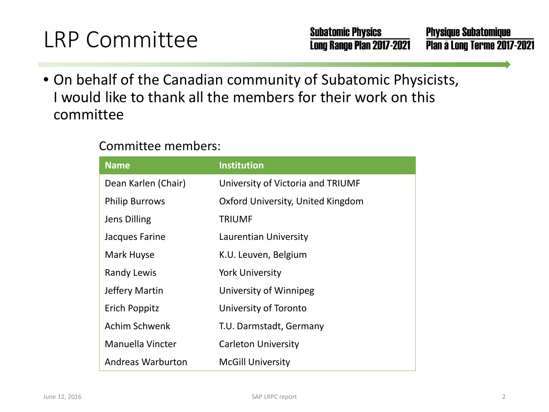### LRP Committee

• On behalf of the Canadian community of Subatomic Physicists, I would like to thank all the members for their work on this committee

#### Committee members:

| <b>Name</b>           | <b>Institution</b>                |
|-----------------------|-----------------------------------|
| Dean Karlen (Chair)   | University of Victoria and TRIUMF |
| <b>Philip Burrows</b> | Oxford University, United Kingdom |
| <b>Jens Dilling</b>   | <b>TRIUMF</b>                     |
| Jacques Farine        | Laurentian University             |
| Mark Huyse            | K.U. Leuven, Belgium              |
| <b>Randy Lewis</b>    | <b>York University</b>            |
| Jeffery Martin        | University of Winnipeg            |
| Erich Poppitz         | University of Toronto             |
| Achim Schwenk         | T.U. Darmstadt, Germany           |
| Manuella Vincter      | <b>Carleton University</b>        |
| Andreas Warburton     | <b>McGill University</b>          |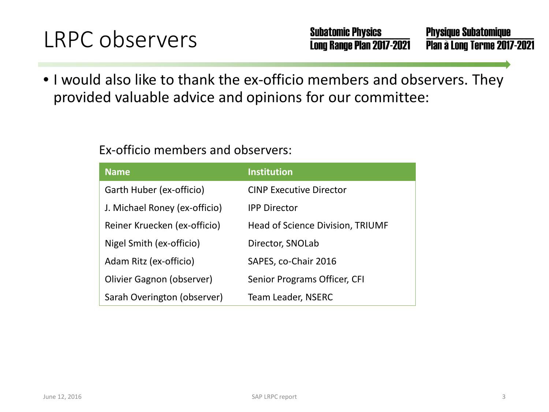### LRPC observers

• I would also like to thank the ex-officio members and observers. They provided valuable advice and opinions for our committee:

#### Ex-officio members and observers:

| <b>Name</b>                   | <b>Institution</b>               |
|-------------------------------|----------------------------------|
| Garth Huber (ex-officio)      | <b>CINP Executive Director</b>   |
| J. Michael Roney (ex-officio) | <b>IPP Director</b>              |
| Reiner Kruecken (ex-officio)  | Head of Science Division, TRIUMF |
| Nigel Smith (ex-officio)      | Director, SNOLab                 |
| Adam Ritz (ex-officio)        | SAPES, co-Chair 2016             |
| Olivier Gagnon (observer)     | Senior Programs Officer, CFI     |
| Sarah Overington (observer)   | Team Leader, NSERC               |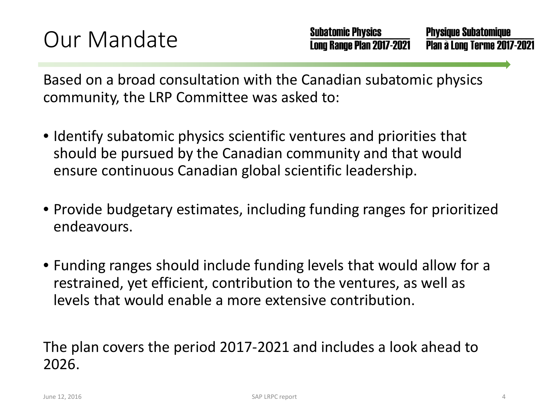Based on a broad consultation with the Canadian subatomic physics community, the LRP Committee was asked to:

- Identify subatomic physics scientific ventures and priorities that should be pursued by the Canadian community and that would ensure continuous Canadian global scientific leadership.
- Provide budgetary estimates, including funding ranges for prioritized endeavours.
- Funding ranges should include funding levels that would allow for a restrained, yet efficient, contribution to the ventures, as well as levels that would enable a more extensive contribution.

The plan covers the period 2017-2021 and includes a look ahead to 2026.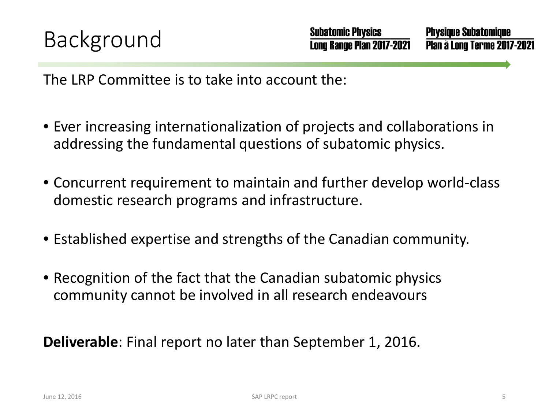The LRP Committee is to take into account the:

- Ever increasing internationalization of projects and collaborations in addressing the fundamental questions of subatomic physics.
- Concurrent requirement to maintain and further develop world-class domestic research programs and infrastructure.
- Established expertise and strengths of the Canadian community.
- Recognition of the fact that the Canadian subatomic physics community cannot be involved in all research endeavours

**Deliverable**: Final report no later than September 1, 2016.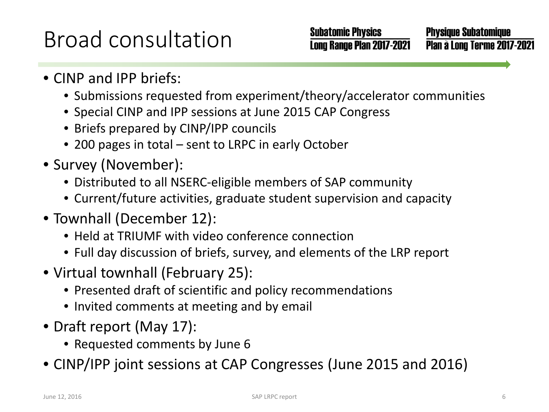### Broad consultation

**Physique Subatomique** Plan à Long Terme 2017-2021

- CINP and IPP briefs:
	- Submissions requested from experiment/theory/accelerator communities
	- Special CINP and IPP sessions at June 2015 CAP Congress
	- Briefs prepared by CINP/IPP councils
	- 200 pages in total sent to LRPC in early October
- Survey (November):
	- Distributed to all NSERC-eligible members of SAP community
	- Current/future activities, graduate student supervision and capacity
- Townhall (December 12):
	- Held at TRIUMF with video conference connection
	- Full day discussion of briefs, survey, and elements of the LRP report
- Virtual townhall (February 25):
	- Presented draft of scientific and policy recommendations
	- Invited comments at meeting and by email
- Draft report (May 17):
	- Requested comments by June 6
- CINP/IPP joint sessions at CAP Congresses (June 2015 and 2016)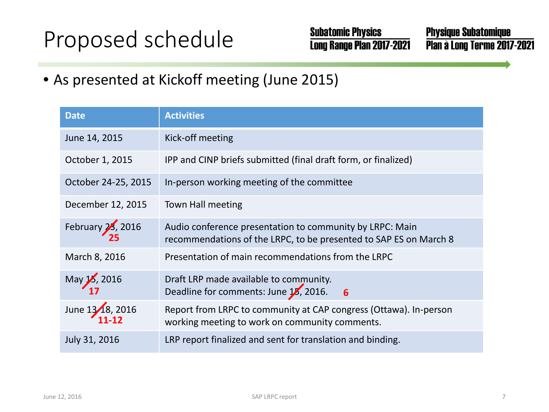### Proposed schedule

**Subatomic Physics** Long Range Plan 2017-2021

**Physique Subatomique** Plan à Long Terme 2017-2021

• As presented at Kickoff meeting (June 2015)

| <b>Date</b>         | <b>Activities</b>                                                                                                             |  |  |
|---------------------|-------------------------------------------------------------------------------------------------------------------------------|--|--|
| June 14, 2015       | Kick-off meeting                                                                                                              |  |  |
| October 1, 2015     | IPP and CINP briefs submitted (final draft form, or finalized)                                                                |  |  |
| October 24-25, 2015 | In-person working meeting of the committee                                                                                    |  |  |
| December 12, 2015   | Town Hall meeting                                                                                                             |  |  |
| February 23, 2016   | Audio conference presentation to community by LRPC: Main<br>recommendations of the LRPC, to be presented to SAP ES on March 8 |  |  |
| March 8, 2016       | Presentation of main recommendations from the LRPC                                                                            |  |  |
| May 15, 2016        | Draft LRP made available to community.<br>Deadline for comments: June 18, 2016.<br>$6^{\circ}$                                |  |  |
| June 13/18, 2016    | Report from LRPC to community at CAP congress (Ottawa). In-person<br>working meeting to work on community comments.           |  |  |
| July 31, 2016       | LRP report finalized and sent for translation and binding.                                                                    |  |  |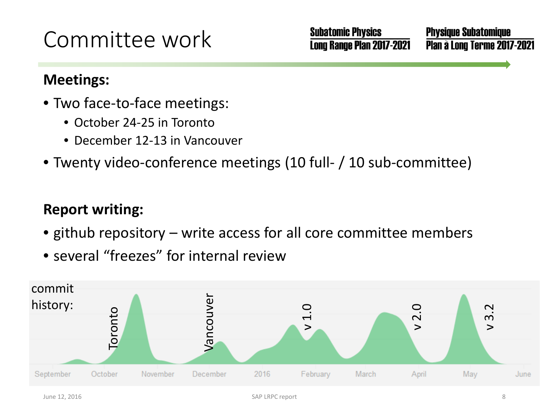### Committee work

**Physique Subatomique** Plan à Long Terme 2017-2021

#### **Meetings:**

- Two face-to-face meetings:
	- October 24-25 in Toronto
	- December 12-13 in Vancouver
- Twenty video-conference meetings (10 full- / 10 sub-committee)

#### **Report writing:**

- github repository write access for all core committee members
- several "freezes" for internal review

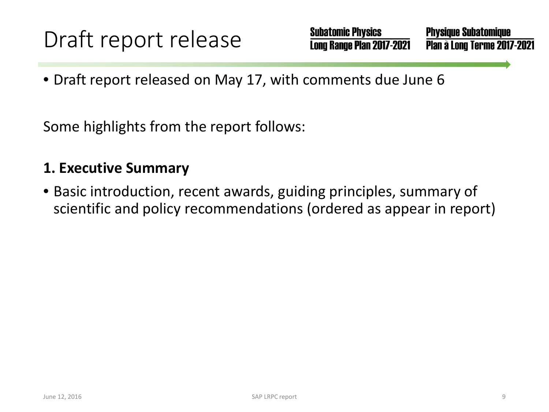**Subatomic Physics Physique Subatomique** Long Range Plan 2017-2021 Plan à Long Terme 2017-2021

• Draft report released on May 17, with comments due June 6

Some highlights from the report follows:

#### **1. Executive Summary**

• Basic introduction, recent awards, guiding principles, summary of scientific and policy recommendations (ordered as appear in report)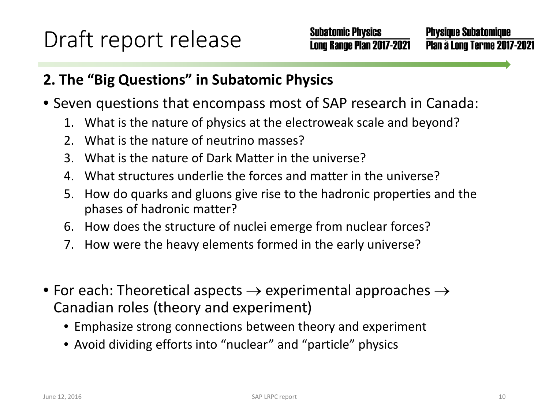#### **2. The "Big Questions" in Subatomic Physics**

- Seven questions that encompass most of SAP research in Canada:
	- 1. What is the nature of physics at the electroweak scale and beyond?
	- 2. What is the nature of neutrino masses?
	- 3. What is the nature of Dark Matter in the universe?
	- 4. What structures underlie the forces and matter in the universe?
	- 5. How do quarks and gluons give rise to the hadronic properties and the phases of hadronic matter?
	- 6. How does the structure of nuclei emerge from nuclear forces?
	- 7. How were the heavy elements formed in the early universe?
- For each: Theoretical aspects  $\rightarrow$  experimental approaches  $\rightarrow$ Canadian roles (theory and experiment)
	- Emphasize strong connections between theory and experiment
	- Avoid dividing efforts into "nuclear" and "particle" physics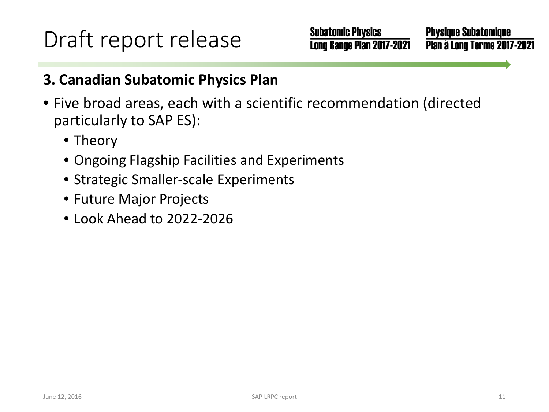**Subatomic Physics** Long Range Plan 2017-2021

**Physique Subatomique** Plan à Long Terme 2017-2021

#### **3. Canadian Subatomic Physics Plan**

- Five broad areas, each with a scientific recommendation (directed particularly to SAP ES):
	- Theory
	- Ongoing Flagship Facilities and Experiments
	- Strategic Smaller-scale Experiments
	- Future Major Projects
	- Look Ahead to 2022-2026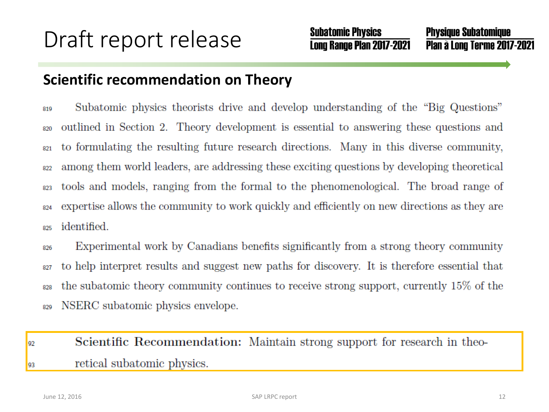#### **Scientific recommendation on Theory**

Subatomic physics theorists drive and develop understanding of the "Big Questions" 819 outlined in Section 2. Theory development is essential to answering these questions and 820 to formulating the resulting future research directions. Many in this diverse community, 821 among them world leaders, are addressing these exciting questions by developing theoretical 822 tools and models, ranging from the formal to the phenomenological. The broad range of 823 expertise allows the community to work quickly and efficiently on new directions as they are 824 identified. 825

Experimental work by Canadians benefits significantly from a strong theory community 826 to help interpret results and suggest new paths for discovery. It is therefore essential that 827 the subatomic theory community continues to receive strong support, currently 15% of the 828 NSERC subatomic physics envelope. 829

#### Scientific Recommendation: Maintain strong support for research in theo-92 retical subatomic physics. 93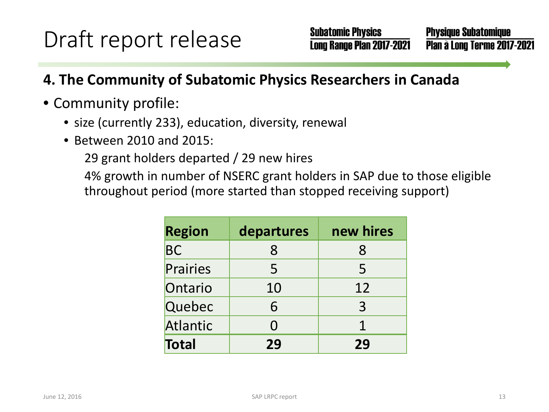### **4. The Community of Subatomic Physics Researchers in Canada**

#### • Community profile:

- size (currently 233), education, diversity, renewal
- Between 2010 and 2015:

29 grant holders departed / 29 new hires

4% growth in number of NSERC grant holders in SAP due to those eligible throughout period (more started than stopped receiving support)

| <b>Region</b> | departures | new hires      |
|---------------|------------|----------------|
| <b>BC</b>     | 8          | 8              |
| Prairies      | 5          | 5              |
| Ontario       | 10         | 12             |
| Quebec        | 6          | $\overline{3}$ |
| Atlantic      | N          | 1              |
| Total         | 29         | 29             |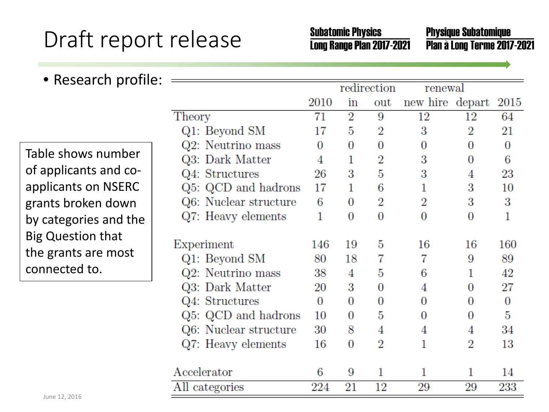**Subatomic Physics** Long Range Plan 2017-2021 **Physique Subatomique** Plan à Long Terme 2017-2021

| • Research profile:      |                       |      |                |                       |                 |                |                |
|--------------------------|-----------------------|------|----------------|-----------------------|-----------------|----------------|----------------|
|                          |                       |      | redirection    |                       | renewal         |                |                |
|                          |                       | 2010 | in             | out                   | new hire depart |                | 2015           |
|                          | Theory                | 71   | $\overline{2}$ | 9                     | 12              | 12             | 64             |
|                          | Q1: Beyond SM         | 17   | 5              | $\overline{2}$        | 3               | $\overline{2}$ | 21             |
| Table shows number       | Q2: Neutrino mass     | 0    | 0              | 0                     | $\overline{0}$  | 0              | $\overline{0}$ |
|                          | Q3: Dark Matter       | 4    | 1              | $\overline{\text{2}}$ | 3               | $\bf{0}$       | 6              |
| of applicants and co-    | Q4: Structures        | 26   | 3              | 5                     | 3               | 4              | 23             |
| applicants on NSERC      | Q5: QCD and hadrons   | 17   | 1              | 6                     | 1               | 3              | 10             |
| grants broken down       | Q6: Nuclear structure | 6    | 0              | $\overline{2}$        | $\overline{2}$  | 3              | 3              |
| by categories and the    | Q7: Heavy elements    | 1    | 0              | 0                     | $\overline{0}$  | 0              | 1              |
| <b>Big Question that</b> | Experiment            | 146  | 19             | 5                     | 16              | 16             | 160            |
| the grants are most      | Q1: Beyond SM         | 80   | 18             | 7                     | 7               | 9              | 89             |
| connected to.            | Q2: Neutrino mass     | 38   | 4              | 5                     | 6               |                | 42             |
|                          | Q3: Dark Matter       | 20   | 3              | 0                     | 4               | 0              | 27             |
|                          | Q4: Structures        | 0    | 0              | 0                     | $\overline{0}$  | 0              | $\overline{0}$ |
|                          | Q5: QCD and hadrons   | 10   | 0              | 5                     | $\overline{0}$  | 0              | 5              |
|                          | Q6: Nuclear structure | 30   | 8              | 4                     | 4               | 4              | 34             |
|                          | Q7: Heavy elements    | 16   | 0              | $\overline{2}$        | 1               | $\rm{_{2}}$    | 13             |
|                          | Accelerator           | 6    | 9              | 1                     | 1               | 1              | 14             |
|                          | All categories        | 224  | 21             | 12                    | 29              | 29             | 233            |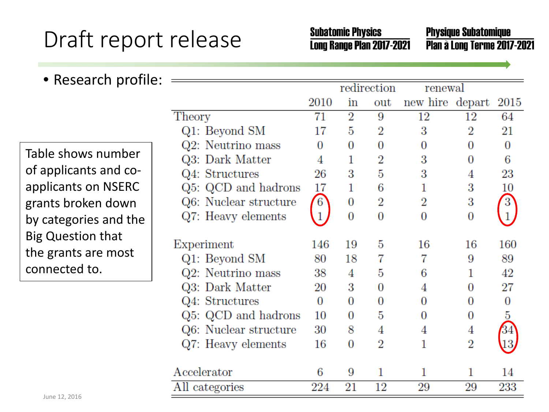**Subatomic Physics** Long Range Plan 2017-2021 **Physique Subatomique** Plan à Long Terme 2017-2021

| • Research profile:      |                       |              |                  |                  |                 |                |                |
|--------------------------|-----------------------|--------------|------------------|------------------|-----------------|----------------|----------------|
|                          |                       |              | redirection      |                  | renewal         |                |                |
|                          |                       | 2010         | in               | out              | new hire depart |                | 2015           |
|                          | Theory                | 71           | $\overline{2}$   | 9                | 12              | 12             | 64             |
|                          | Q1: Beyond SM         | 17           | 5                | $\overline{2}$   | 3               | $\overline{2}$ | 21             |
| Table shows number       | Q2: Neutrino mass     | 0            | $\overline{0}$   | 0                | $\overline{0}$  | 0              | $\overline{0}$ |
|                          | Q3: Dark Matter       | 4            | 1                | $\overline{2}$   | 3               | 0              | 6              |
| of applicants and co-    | Q4: Structures        | 26           | 3                | 5                | 3               | 4              | 23             |
| applicants on NSERC      | Q5: QCD and hadrons   | 17           | 1                | 6                |                 | 3              | 10             |
| grants broken down       | Q6: Nuclear structure | 6            | $\boldsymbol{0}$ | $\overline{2}$   | $\overline{2}$  | 3              | 3              |
| by categories and the    | Q7: Heavy elements    | $\mathbf{1}$ | 0                | $\boldsymbol{0}$ | $\overline{0}$  | $\overline{0}$ |                |
| <b>Big Question that</b> |                       |              |                  |                  |                 |                |                |
| the grants are most      | Experiment            | 146          | 19               | 5                | 16              | 16             | 160            |
| connected to.            | Q1: Beyond SM         | 80           | 18               | 7                | 7               | 9              | 89             |
|                          | Q2: Neutrino mass     | 38           | 4                | 5                | 6               |                | 42             |
|                          | Q3: Dark Matter       | 20           | 3                | 0                | 4               | 0              | 27             |
|                          | Q4: Structures        | 0            | 0                | 0                | 0               | 0              | 0              |
|                          | Q5: QCD and hadrons   | 10           | 0                | 5                | 0               | 0              | 5              |
|                          | Q6: Nuclear structure | 30           | 8                | 4                | 4               | 4              | 34             |
|                          | Q7: Heavy elements    | 16           | 0                | 2                | 1               | $\overline{2}$ | 13             |
|                          | Accelerator           | 6            | 9                | 1                | 1               | 1              | 14             |
|                          | All categories        | 224          | 21               | 12               | 29              | 29             | 233            |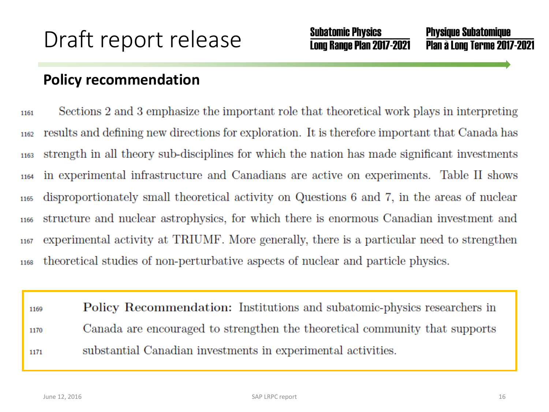#### **Policy recommendation**

Sections 2 and 3 emphasize the important role that theoretical work plays in interpreting 1161 results and defining new directions for exploration. It is therefore important that Canada has 1162 strength in all theory sub-disciplines for which the nation has made significant investments 1163 in experimental infrastructure and Canadians are active on experiments. Table II shows 1164 disproportionately small theoretical activity on Questions 6 and 7, in the areas of nuclear 1165 structure and nuclear astrophysics, for which there is enormous Canadian investment and 1166 experimental activity at TRIUMF. More generally, there is a particular need to strengthen 1167 theoretical studies of non-perturbative aspects of nuclear and particle physics. 1168

Policy Recommendation: Institutions and subatomic-physics researchers in 1169 Canada are encouraged to strengthen the theoretical community that supports 1170 substantial Canadian investments in experimental activities. 1171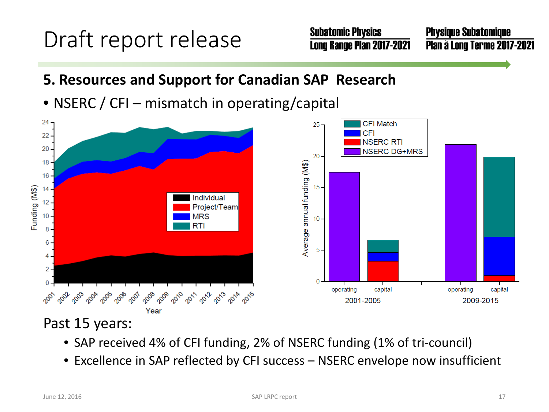**Subatomic Physics** Long Range Plan 2017-2021

**Physique Subatomique** Plan à Long Terme 2017-2021

- **5. Resources and Support for Canadian SAP Research**
- NSERC / CFI mismatch in operating/capital



#### Past 15 years:

- SAP received 4% of CFI funding, 2% of NSERC funding (1% of tri-council)
- Excellence in SAP reflected by CFI success NSERC envelope now insufficient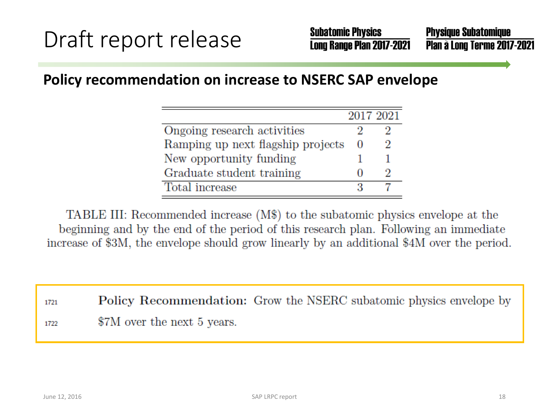#### **Policy recommendation on increase to NSERC SAP envelope**

|                                   | 2017 2021 |   |
|-----------------------------------|-----------|---|
| Ongoing research activities       |           |   |
| Ramping up next flagship projects | 0         | 2 |
| New opportunity funding           |           |   |
| Graduate student training         |           |   |
| Total increase                    |           |   |

TABLE III: Recommended increase (M\$) to the subatomic physics envelope at the beginning and by the end of the period of this research plan. Following an immediate increase of \$3M, the envelope should grow linearly by an additional \$4M over the period.

**Policy Recommendation:** Grow the NSERC subatomic physics envelope by 1721 \$7M over the next 5 years. 1722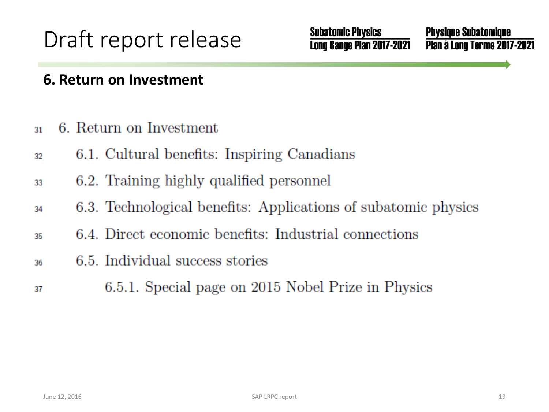**Subatomic Physics** Long Range Plan 2017-2021 **Physique Subatomique** Plan à Long Terme 2017-2021

#### **6. Return on Investment**

- 6. Return on Investment  $31$
- 6.1. Cultural benefits: Inspiring Canadians 32
- 6.2. Training highly qualified personnel 33
- 6.3. Technological benefits: Applications of subatomic physics 34
- 6.4. Direct economic benefits: Industrial connections 35
- 6.5. Individual success stories 36
- 6.5.1. Special page on 2015 Nobel Prize in Physics 37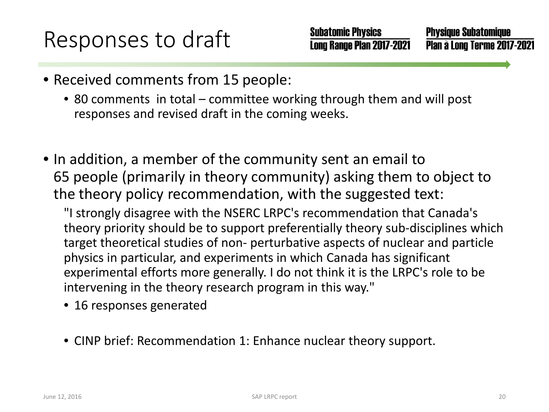**Physique Subatomique** Plan à Long Terme 2017-2021

- Received comments from 15 people:
	- 80 comments in total committee working through them and will post responses and revised draft in the coming weeks.
- In addition, a member of the community sent an email to 65 people (primarily in theory community) asking them to object to the theory policy recommendation, with the suggested text:

"I strongly disagree with the NSERC LRPC's recommendation that Canada's theory priority should be to support preferentially theory sub-disciplines which target theoretical studies of non- perturbative aspects of nuclear and particle physics in particular, and experiments in which Canada has significant experimental efforts more generally. I do not think it is the LRPC's role to be intervening in the theory research program in this way."

- 16 responses generated
- CINP brief: Recommendation 1: Enhance nuclear theory support.